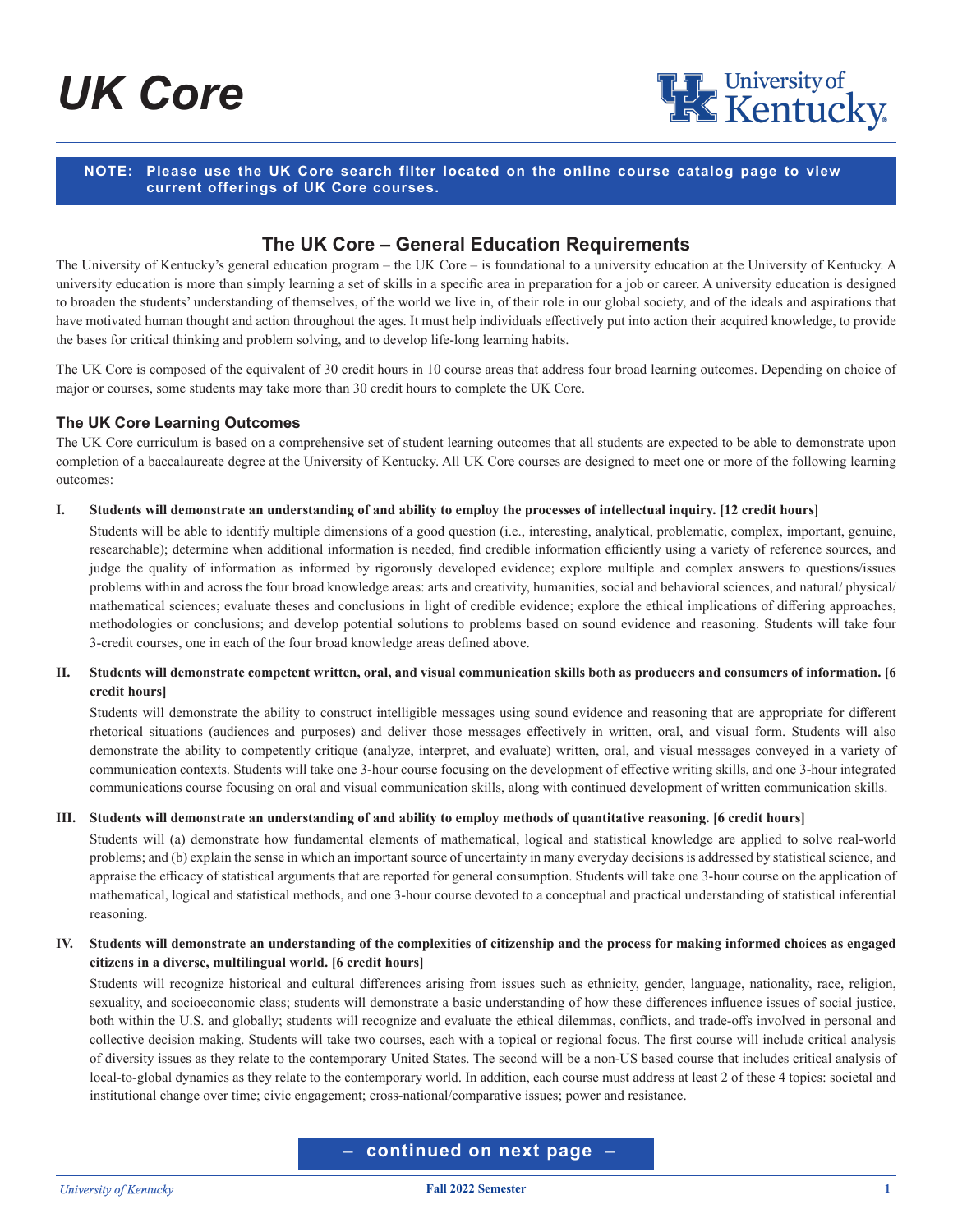# *UK Core*



## **NOTE: Please use the UK Core search filter located on the online course catalog page to view current offerings of UK Core courses.**

# **The UK Core – General Education Requirements**

The University of Kentucky's general education program – the UK Core – is foundational to a university education at the University of Kentucky. A university education is more than simply learning a set of skills in a specific area in preparation for a job or career. A university education is designed to broaden the students' understanding of themselves, of the world we live in, of their role in our global society, and of the ideals and aspirations that have motivated human thought and action throughout the ages. It must help individuals effectively put into action their acquired knowledge, to provide the bases for critical thinking and problem solving, and to develop life-long learning habits.

The UK Core is composed of the equivalent of 30 credit hours in 10 course areas that address four broad learning outcomes. Depending on choice of major or courses, some students may take more than 30 credit hours to complete the UK Core.

## **The UK Core Learning Outcomes**

The UK Core curriculum is based on a comprehensive set of student learning outcomes that all students are expected to be able to demonstrate upon completion of a baccalaureate degree at the University of Kentucky. All UK Core courses are designed to meet one or more of the following learning outcomes:

#### **I. Students will demonstrate an understanding of and ability to employ the processes of intellectual inquiry. [12 credit hours]**

Students will be able to identify multiple dimensions of a good question (i.e., interesting, analytical, problematic, complex, important, genuine, researchable); determine when additional information is needed, find credible information efficiently using a variety of reference sources, and judge the quality of information as informed by rigorously developed evidence; explore multiple and complex answers to questions/issues problems within and across the four broad knowledge areas: arts and creativity, humanities, social and behavioral sciences, and natural/ physical/ mathematical sciences; evaluate theses and conclusions in light of credible evidence; explore the ethical implications of differing approaches, methodologies or conclusions; and develop potential solutions to problems based on sound evidence and reasoning. Students will take four 3-credit courses, one in each of the four broad knowledge areas defined above.

## **II. Students will demonstrate competent written, oral, and visual communication skills both as producers and consumers of information. [6 credit hours]**

Students will demonstrate the ability to construct intelligible messages using sound evidence and reasoning that are appropriate for different rhetorical situations (audiences and purposes) and deliver those messages effectively in written, oral, and visual form. Students will also demonstrate the ability to competently critique (analyze, interpret, and evaluate) written, oral, and visual messages conveyed in a variety of communication contexts. Students will take one 3-hour course focusing on the development of effective writing skills, and one 3-hour integrated communications course focusing on oral and visual communication skills, along with continued development of written communication skills.

#### **III. Students will demonstrate an understanding of and ability to employ methods of quantitative reasoning. [6 credit hours]**

Students will (a) demonstrate how fundamental elements of mathematical, logical and statistical knowledge are applied to solve real-world problems; and (b) explain the sense in which an important source of uncertainty in many everyday decisions is addressed by statistical science, and appraise the efficacy of statistical arguments that are reported for general consumption. Students will take one 3-hour course on the application of mathematical, logical and statistical methods, and one 3-hour course devoted to a conceptual and practical understanding of statistical inferential reasoning.

## **IV. Students will demonstrate an understanding of the complexities of citizenship and the process for making informed choices as engaged citizens in a diverse, multilingual world. [6 credit hours]**

Students will recognize historical and cultural differences arising from issues such as ethnicity, gender, language, nationality, race, religion, sexuality, and socioeconomic class; students will demonstrate a basic understanding of how these differences influence issues of social justice, both within the U.S. and globally; students will recognize and evaluate the ethical dilemmas, conflicts, and trade-offs involved in personal and collective decision making. Students will take two courses, each with a topical or regional focus. The first course will include critical analysis of diversity issues as they relate to the contemporary United States. The second will be a non-US based course that includes critical analysis of local-to-global dynamics as they relate to the contemporary world. In addition, each course must address at least 2 of these 4 topics: societal and institutional change over time; civic engagement; cross-national/comparative issues; power and resistance.

## **– continued on next page –**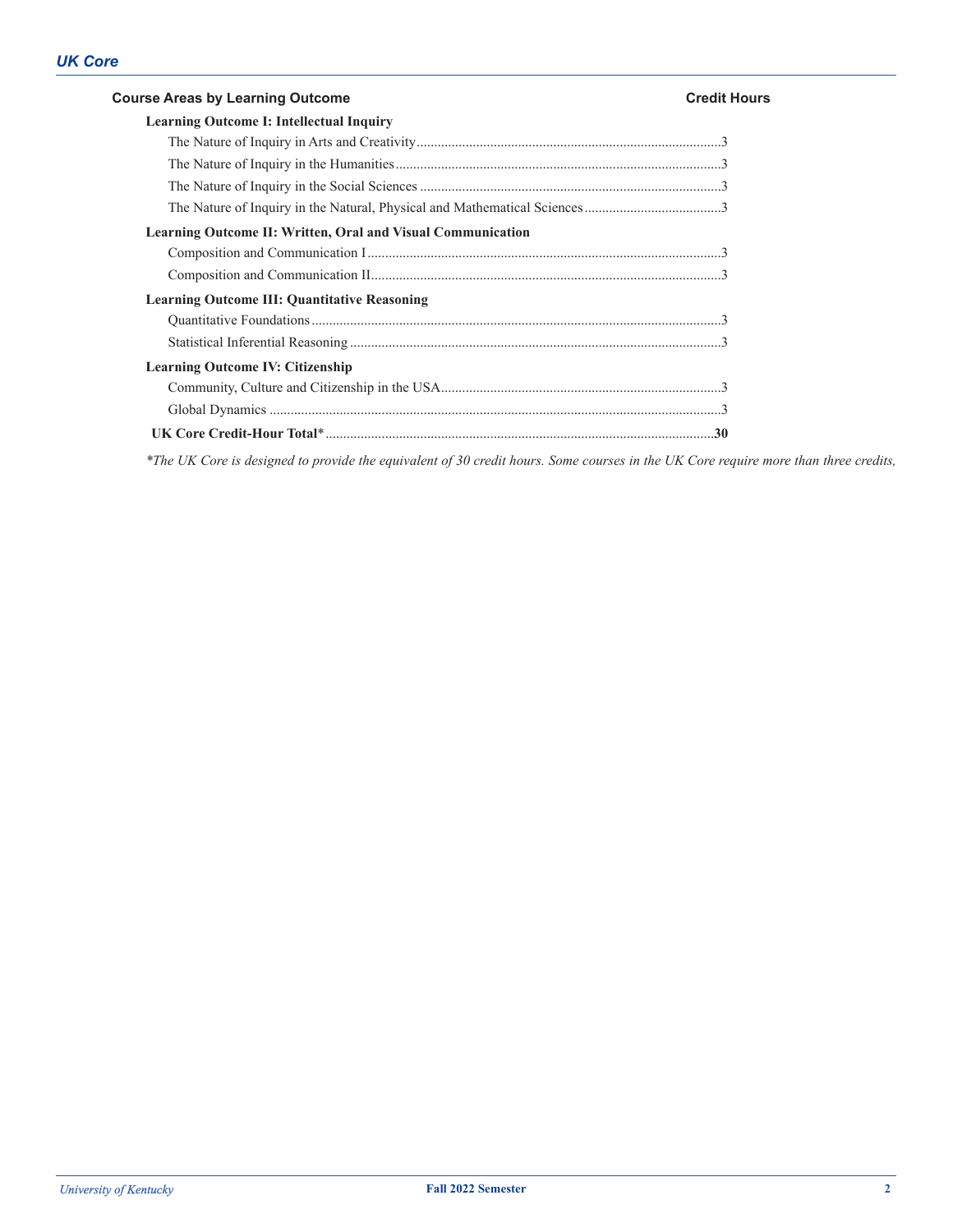# **Course Areas by Learning Outcome Credit Hours Learning Outcome I: Intellectual Inquiry** The Nature of Inquiry in Arts and Creativity.......................................................................................3 The Nature of Inquiry in the Humanities.............................................................................................3 The Nature of Inquiry in the Social Sciences ......................................................................................3 The Nature of Inquiry in the Natural, Physical and Mathematical Sciences.......................................3 **Learning Outcome II: Written, Oral and Visual Communication** Composition and Communication I.....................................................................................................3 Composition and Communication II....................................................................................................3 **Learning Outcome III: Quantitative Reasoning** Quantitative Foundations.....................................................................................................................3 Statistical Inferential Reasoning ..........................................................................................................3 **Learning Outcome IV: Citizenship** Community, Culture and Citizenship in the USA................................................................................3 Global Dynamics .................................................................................................................................3 **UK Core Credit-Hour Total**\*...............................................................................................................**30**

*\*The UK Core is designed to provide the equivalent of 30 credit hours. Some courses in the UK Core require more than three credits,*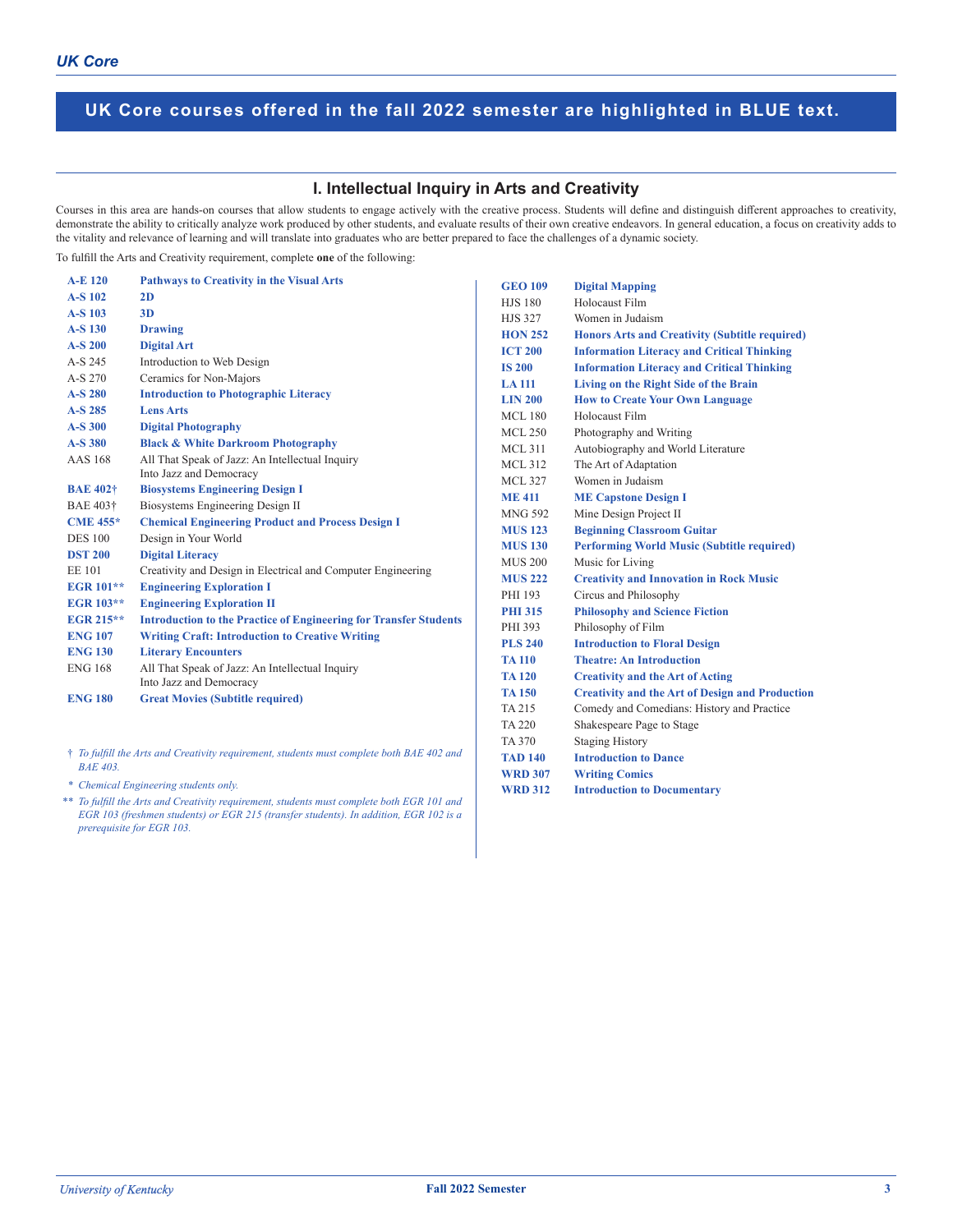### **I. Intellectual Inquiry in Arts and Creativity**

Courses in this area are hands-on courses that allow students to engage actively with the creative process. Students will define and distinguish different approaches to creativity, demonstrate the ability to critically analyze work produced by other students, and evaluate results of their own creative endeavors. In general education, a focus on creativity adds to the vitality and relevance of learning and will translate into graduates who are better prepared to face the challenges of a dynamic society.

To fulfill the Arts and Creativity requirement, complete **one** of the following:

| <b>A-E 120</b>       | <b>Pathways to Creativity in the Visual Arts</b>                         | <b>GEO 109</b> | <b>Digital Mapping</b>                                 |
|----------------------|--------------------------------------------------------------------------|----------------|--------------------------------------------------------|
| A-S 102              | 2D                                                                       | <b>HJS 180</b> | Holocaust Film                                         |
| A-S 103              | 3D                                                                       | <b>HJS 327</b> | Women in Judaism                                       |
| A-S 130              | <b>Drawing</b>                                                           | <b>HON 252</b> | <b>Honors Arts and Creativity (Subtitle required)</b>  |
| A-S 200              | <b>Digital Art</b>                                                       | <b>ICT 200</b> | <b>Information Literacy and Critical Thinking</b>      |
| A-S 245              | Introduction to Web Design                                               | <b>IS 200</b>  | <b>Information Literacy and Critical Thinking</b>      |
| A-S 270              | Ceramics for Non-Majors                                                  | <b>LA 111</b>  | Living on the Right Side of the Brain                  |
| A-S 280              | <b>Introduction to Photographic Literacy</b>                             | <b>LIN 200</b> | <b>How to Create Your Own Language</b>                 |
| $A-S$ 285            | <b>Lens Arts</b>                                                         | <b>MCL 180</b> | Holocaust Film                                         |
| A-S 300              | <b>Digital Photography</b>                                               | <b>MCL 250</b> | Photography and Writing                                |
| A-S 380              | <b>Black &amp; White Darkroom Photography</b>                            | <b>MCL 311</b> | Autobiography and World Literature                     |
| <b>AAS</b> 168       | All That Speak of Jazz: An Intellectual Inquiry                          | <b>MCL 312</b> | The Art of Adaptation                                  |
|                      | Into Jazz and Democracy                                                  | <b>MCL 327</b> | Women in Judaism                                       |
| <b>BAE 402+</b>      | <b>Biosystems Engineering Design I</b>                                   | <b>ME411</b>   | <b>ME Capstone Design I</b>                            |
| BAE 403 <sup>+</sup> | Biosystems Engineering Design II                                         | <b>MNG 592</b> | Mine Design Project II                                 |
| <b>CME 455*</b>      | <b>Chemical Engineering Product and Process Design I</b>                 | <b>MUS 123</b> | <b>Beginning Classroom Guitar</b>                      |
| <b>DES</b> 100       | Design in Your World                                                     | <b>MUS 130</b> | <b>Performing World Music (Subtitle required)</b>      |
| <b>DST 200</b>       | <b>Digital Literacy</b>                                                  | <b>MUS 200</b> | Music for Living                                       |
| <b>EE101</b>         | Creativity and Design in Electrical and Computer Engineering             | <b>MUS 222</b> | <b>Creativity and Innovation in Rock Music</b>         |
| <b>EGR 101**</b>     | <b>Engineering Exploration I</b>                                         | PHI 193        | Circus and Philosophy                                  |
| <b>EGR 103**</b>     | <b>Engineering Exploration II</b>                                        | <b>PHI 315</b> | <b>Philosophy and Science Fiction</b>                  |
| <b>EGR 215**</b>     | <b>Introduction to the Practice of Engineering for Transfer Students</b> | PHI 393        | Philosophy of Film                                     |
| <b>ENG 107</b>       | <b>Writing Craft: Introduction to Creative Writing</b>                   | <b>PLS 240</b> | <b>Introduction to Floral Design</b>                   |
| <b>ENG 130</b>       | <b>Literary Encounters</b>                                               | <b>TA 110</b>  | <b>Theatre: An Introduction</b>                        |
| <b>ENG 168</b>       | All That Speak of Jazz: An Intellectual Inquiry                          | <b>TA 120</b>  | <b>Creativity and the Art of Acting</b>                |
|                      | Into Jazz and Democracy                                                  | <b>TA 150</b>  | <b>Creativity and the Art of Design and Production</b> |
| <b>ENG 180</b>       | <b>Great Movies (Subtitle required)</b>                                  | TA 215         | Comedy and Comedians: History and Practice             |
|                      |                                                                          | <b>TA 220</b>  | Shakespeare Page to Stage                              |

† *To fulfill the Arts and Creativity requirement, students must complete both BAE 402 and BAE 403.*

 *\* Chemical Engineering students only.*

 *\*\* To fulfill the Arts and Creativity requirement, students must complete both EGR 101 and EGR 103 (freshmen students) or EGR 215 (transfer students). In addition, EGR 102 is a prerequisite for EGR 103.*

**WRD 312 Introduction to Documentary**

TA 370 Staging History **TAD 140 Introduction to Dance WRD 307 Writing Comics**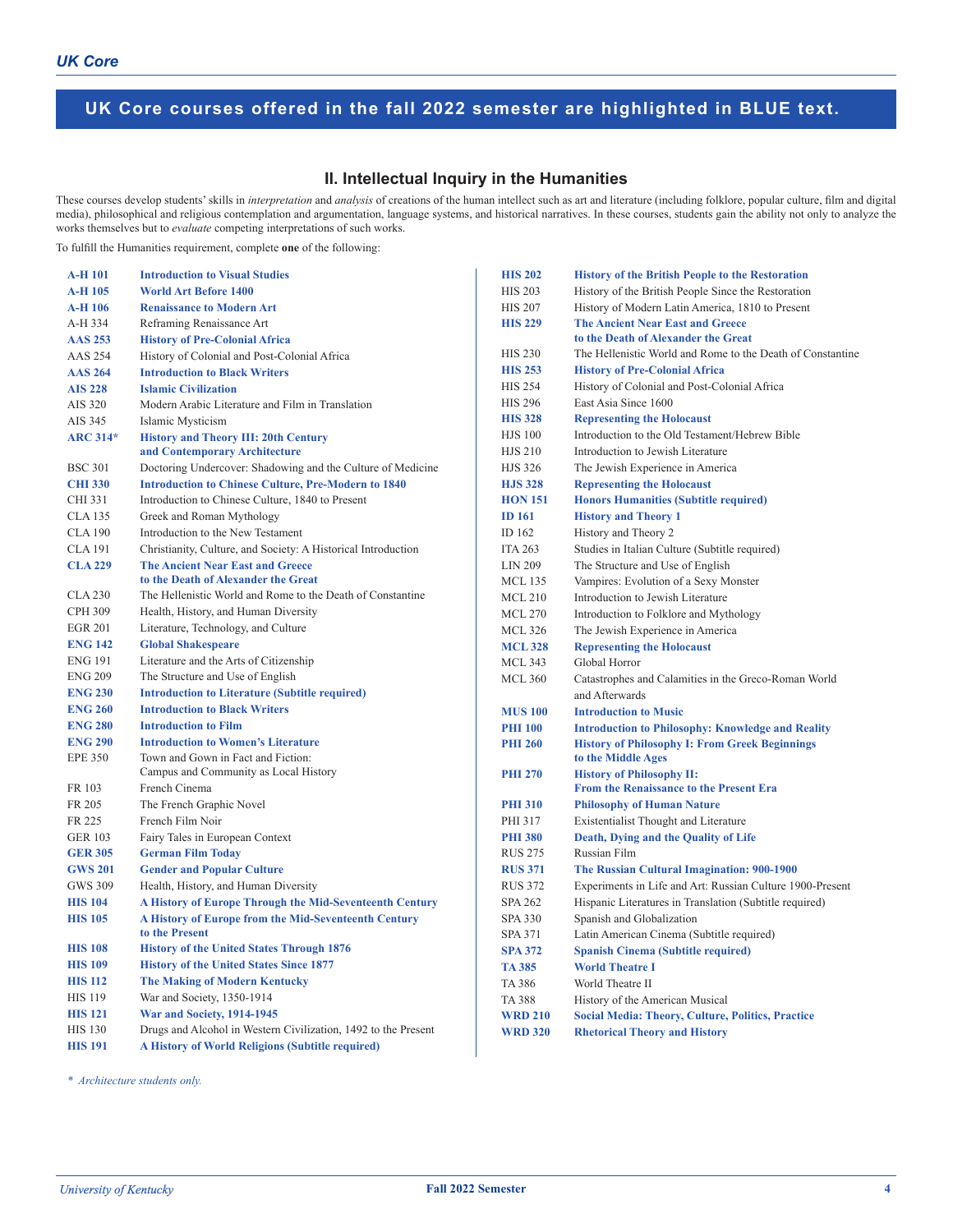## **II. Intellectual Inquiry in the Humanities**

These courses develop students' skills in *interpretation* and *analysis* of creations of the human intellect such as art and literature (including folklore, popular culture, film and digital media), philosophical and religious contemplation and argumentation, language systems, and historical narratives. In these courses, students gain the ability not only to analyze the works themselves but to *evaluate* competing interpretations of such works.

To fulfill the Humanities requirement, complete **one** of the following:

| A-H 101         | <b>Introduction to Visual Studies</b>                                          |
|-----------------|--------------------------------------------------------------------------------|
| <b>A-H 105</b>  | <b>World Art Before 1400</b>                                                   |
| <b>A-H 106</b>  | <b>Renaissance to Modern Art</b>                                               |
| A-H 334         | Reframing Renaissance Art                                                      |
| <b>AAS 253</b>  | <b>History of Pre-Colonial Africa</b>                                          |
| <b>AAS 254</b>  | History of Colonial and Post-Colonial Africa                                   |
| <b>AAS 264</b>  | <b>Introduction to Black Writers</b>                                           |
| <b>AIS 228</b>  | <b>Islamic Civilization</b>                                                    |
| AIS 320         | Modern Arabic Literature and Film in Translation                               |
| AIS 345         | Islamic Mysticism                                                              |
| <b>ARC 314*</b> | <b>History and Theory III: 20th Century</b><br>and Contemporary Architecture   |
| <b>BSC 301</b>  | Doctoring Undercover: Shadowing and the Culture of Medicine                    |
| <b>CHI 330</b>  | <b>Introduction to Chinese Culture, Pre-Modern to 1840</b>                     |
| CHI 331         | Introduction to Chinese Culture, 1840 to Present                               |
| <b>CLA 135</b>  | Greek and Roman Mythology                                                      |
| <b>CLA 190</b>  | Introduction to the New Testament                                              |
| <b>CLA 191</b>  | Christianity, Culture, and Society: A Historical Introduction                  |
| <b>CLA 229</b>  | <b>The Ancient Near East and Greece</b><br>to the Death of Alexander the Great |
| <b>CLA 230</b>  | The Hellenistic World and Rome to the Death of Constantine                     |
| <b>CPH 309</b>  | Health, History, and Human Diversity                                           |
| <b>EGR 201</b>  | Literature, Technology, and Culture                                            |
| <b>ENG 142</b>  | <b>Global Shakespeare</b>                                                      |
| <b>ENG 191</b>  | Literature and the Arts of Citizenship                                         |
| <b>ENG 209</b>  | The Structure and Use of English                                               |
| <b>ENG 230</b>  | <b>Introduction to Literature (Subtitle required)</b>                          |
| <b>ENG 260</b>  | <b>Introduction to Black Writers</b>                                           |
| <b>ENG 280</b>  | <b>Introduction to Film</b>                                                    |
| <b>ENG 290</b>  | <b>Introduction to Women's Literature</b>                                      |
| <b>EPE 350</b>  | Town and Gown in Fact and Fiction:<br>Campus and Community as Local History    |
| FR 103          | French Cinema                                                                  |
| FR 205          | The French Graphic Novel                                                       |
| FR 225          | French Film Noir                                                               |
| <b>GER 103</b>  | Fairy Tales in European Context                                                |
| <b>GER 305</b>  | <b>German Film Today</b>                                                       |
| <b>GWS 201</b>  | <b>Gender and Popular Culture</b>                                              |
| GWS 309         | Health, History, and Human Diversity                                           |
| <b>HIS 104</b>  | A History of Europe Through the Mid-Seventeenth Century                        |
| <b>HIS 105</b>  | A History of Europe from the Mid-Seventeenth Century                           |
|                 | to the Present                                                                 |
| <b>HIS 108</b>  | <b>History of the United States Through 1876</b>                               |
| <b>HIS 109</b>  | <b>History of the United States Since 1877</b>                                 |
| <b>HIS 112</b>  | <b>The Making of Modern Kentucky</b>                                           |
| <b>HIS 119</b>  | War and Society, 1350-1914                                                     |
| <b>HIS 121</b>  | War and Society, 1914-1945                                                     |
| <b>HIS 130</b>  | Drugs and Alcohol in Western Civilization, 1492 to the Present                 |
| <b>HIS 191</b>  | A History of World Religions (Subtitle required)                               |

**HIS 202 History of the British People to the Restoration** HIS 203 History of the British People Since the Restoration HIS 207 History of Modern Latin America, 1810 to Present **HIS 229 The Ancient Near East and Greece to the Death of Alexander the Great** HIS 230 The Hellenistic World and Rome to the Death of Constantine **HIS 253 History of Pre-Colonial Africa** HIS 254 History of Colonial and Post-Colonial Africa HIS 296 East Asia Since 1600 **HIS 328 Representing the Holocaust** HJS 100 Introduction to the Old Testament/Hebrew Bible HJS 210 Introduction to Jewish Literature HJS 326 The Jewish Experience in America **HJS 328 Representing the Holocaust HON 151 Honors Humanities (Subtitle required) ID 161 History and Theory 1** ID 162 History and Theory 2 ITA 263 Studies in Italian Culture (Subtitle required) LIN 209 The Structure and Use of English MCL 135 Vampires: Evolution of a Sexy Monster MCL 210 Introduction to Jewish Literature MCL 270 Introduction to Folklore and Mythology MCL 326 The Jewish Experience in America **MCL 328 Representing the Holocaust** MCL 343 Global Horror MCL 360 Catastrophes and Calamities in the Greco-Roman World and Afterwards **MUS 100 Introduction to Music PHI 100 Introduction to Philosophy: Knowledge and Reality PHI 260 History of Philosophy I: From Greek Beginnings to the Middle Ages PHI 270 History of Philosophy II: From the Renaissance to the Present Era PHI 310 Philosophy of Human Nature** PHI 317 Existentialist Thought and Literature **PHI 380 Death, Dying and the Quality of Life** RUS 275 Russian Film **RUS 371 The Russian Cultural Imagination: 900-1900** RUS 372 Experiments in Life and Art: Russian Culture 1900-Present SPA 262 Hispanic Literatures in Translation (Subtitle required) SPA 330 Spanish and Globalization SPA 371 Latin American Cinema (Subtitle required) **SPA 372 Spanish Cinema (Subtitle required) TA 385 World Theatre I** TA 386 World Theatre II TA 388 History of the American Musical **WRD 210 Social Media: Theory, Culture, Politics, Practice WRD 320 Rhetorical Theory and History**

*\* Architecture students only.*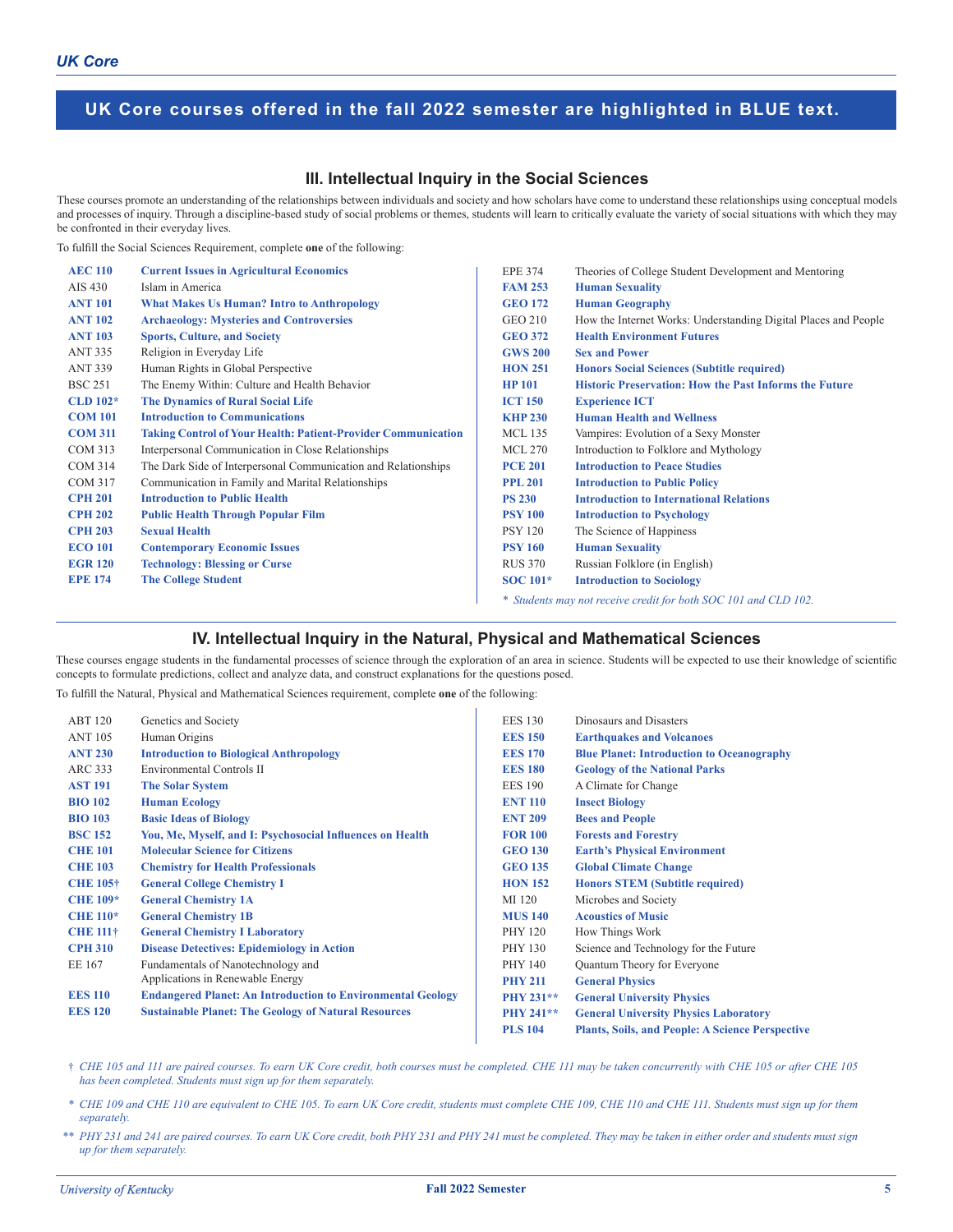## **III. Intellectual Inquiry in the Social Sciences**

These courses promote an understanding of the relationships between individuals and society and how scholars have come to understand these relationships using conceptual models and processes of inquiry. Through a discipline-based study of social problems or themes, students will learn to critically evaluate the variety of social situations with which they may be confronted in their everyday lives.

To fulfill the Social Sciences Requirement, complete **one** of the following:

| <b>AEC 110</b> | <b>Current Issues in Agricultural Economics</b>                      | <b>EPE 374</b>  | Theories of College Student Development and Mentoring           |
|----------------|----------------------------------------------------------------------|-----------------|-----------------------------------------------------------------|
| AIS 430        | Islam in America                                                     | <b>FAM 253</b>  | <b>Human Sexuality</b>                                          |
| <b>ANT 101</b> | <b>What Makes Us Human? Intro to Anthropology</b>                    | <b>GEO 172</b>  | <b>Human Geography</b>                                          |
| <b>ANT 102</b> | <b>Archaeology: Mysteries and Controversies</b>                      | GEO 210         | How the Internet Works: Understanding Digital Places and People |
| <b>ANT 103</b> | <b>Sports, Culture, and Society</b>                                  | <b>GEO 372</b>  | <b>Health Environment Futures</b>                               |
| <b>ANT 335</b> | Religion in Everyday Life                                            | <b>GWS 200</b>  | <b>Sex and Power</b>                                            |
| <b>ANT 339</b> | Human Rights in Global Perspective                                   | <b>HON 251</b>  | <b>Honors Social Sciences (Subtitle required)</b>               |
| <b>BSC 251</b> | The Enemy Within: Culture and Health Behavior                        | <b>HP 101</b>   | <b>Historic Preservation: How the Past Informs the Future</b>   |
| $CLD$ 102*     | <b>The Dynamics of Rural Social Life</b>                             | <b>ICT 150</b>  | <b>Experience ICT</b>                                           |
| <b>COM 101</b> | <b>Introduction to Communications</b>                                | <b>KHP 230</b>  | <b>Human Health and Wellness</b>                                |
| <b>COM 311</b> | <b>Taking Control of Your Health: Patient-Provider Communication</b> | <b>MCL 135</b>  | Vampires: Evolution of a Sexy Monster                           |
| <b>COM 313</b> | Interpersonal Communication in Close Relationships                   | MCL 270         | Introduction to Folklore and Mythology                          |
| <b>COM 314</b> | The Dark Side of Interpersonal Communication and Relationships       | <b>PCE 201</b>  | <b>Introduction to Peace Studies</b>                            |
| <b>COM 317</b> | Communication in Family and Marital Relationships                    | <b>PPL 201</b>  | <b>Introduction to Public Policy</b>                            |
| <b>CPH 201</b> | <b>Introduction to Public Health</b>                                 | <b>PS 230</b>   | <b>Introduction to International Relations</b>                  |
| <b>CPH 202</b> | <b>Public Health Through Popular Film</b>                            | <b>PSY 100</b>  | <b>Introduction to Psychology</b>                               |
| <b>CPH 203</b> | <b>Sexual Health</b>                                                 | <b>PSY 120</b>  | The Science of Happiness                                        |
| <b>ECO 101</b> | <b>Contemporary Economic Issues</b>                                  | <b>PSY 160</b>  | <b>Human Sexuality</b>                                          |
| <b>EGR 120</b> | <b>Technology: Blessing or Curse</b>                                 | <b>RUS 370</b>  | Russian Folklore (in English)                                   |
| <b>EPE 174</b> | <b>The College Student</b>                                           | <b>SOC</b> 101* | <b>Introduction to Sociology</b>                                |
|                |                                                                      |                 | * Students may not receive credit for both SOC 101 and CLD 102. |

## **IV. Intellectual Inquiry in the Natural, Physical and Mathematical Sciences**

These courses engage students in the fundamental processes of science through the exploration of an area in science. Students will be expected to use their knowledge of scientific concepts to formulate predictions, collect and analyze data, and construct explanations for the questions posed.

To fulfill the Natural, Physical and Mathematical Sciences requirement, complete **one** of the following:

| <b>ABT 120</b>  | Genetics and Society                                               | <b>EES 130</b> | Dinosaurs and Disasters                                 |
|-----------------|--------------------------------------------------------------------|----------------|---------------------------------------------------------|
| <b>ANT 105</b>  | Human Origins                                                      | <b>EES 150</b> | <b>Earthquakes and Volcanoes</b>                        |
| <b>ANT 230</b>  | <b>Introduction to Biological Anthropology</b>                     | <b>EES 170</b> | <b>Blue Planet: Introduction to Oceanography</b>        |
| ARC 333         | Environmental Controls II                                          | <b>EES 180</b> | <b>Geology of the National Parks</b>                    |
| <b>AST 191</b>  | <b>The Solar System</b>                                            | <b>EES 190</b> | A Climate for Change                                    |
| <b>BIO 102</b>  | <b>Human Ecology</b>                                               | <b>ENT 110</b> | <b>Insect Biology</b>                                   |
| <b>BIO 103</b>  | <b>Basic Ideas of Biology</b>                                      | <b>ENT 209</b> | <b>Bees and People</b>                                  |
| <b>BSC 152</b>  | You, Me, Myself, and I: Psychosocial Influences on Health          | <b>FOR 100</b> | <b>Forests and Forestry</b>                             |
| <b>CHE 101</b>  | <b>Molecular Science for Citizens</b>                              | <b>GEO 130</b> | <b>Earth's Physical Environment</b>                     |
| <b>CHE 103</b>  | <b>Chemistry for Health Professionals</b>                          | <b>GEO 135</b> | <b>Global Climate Change</b>                            |
| <b>CHE 105†</b> | <b>General College Chemistry I</b>                                 | <b>HON 152</b> | <b>Honors STEM (Subtitle required)</b>                  |
| <b>CHE 109*</b> | <b>General Chemistry 1A</b>                                        | MI 120         | Microbes and Society                                    |
| <b>CHE 110*</b> | <b>General Chemistry 1B</b>                                        | <b>MUS 140</b> | <b>Acoustics of Music</b>                               |
| <b>CHE 111†</b> | <b>General Chemistry I Laboratory</b>                              | <b>PHY 120</b> | How Things Work                                         |
| <b>CPH 310</b>  | <b>Disease Detectives: Epidemiology in Action</b>                  | <b>PHY 130</b> | Science and Technology for the Future                   |
| EE 167          | Fundamentals of Nanotechnology and                                 | <b>PHY 140</b> | Quantum Theory for Everyone                             |
|                 | Applications in Renewable Energy                                   | <b>PHY 211</b> | <b>General Physics</b>                                  |
| <b>EES 110</b>  | <b>Endangered Planet: An Introduction to Environmental Geology</b> | PHY 231**      | <b>General University Physics</b>                       |
| <b>EES 120</b>  | <b>Sustainable Planet: The Geology of Natural Resources</b>        | PHY 241**      | <b>General University Physics Laboratory</b>            |
|                 |                                                                    | <b>PLS 104</b> | <b>Plants, Soils, and People: A Science Perspective</b> |
|                 |                                                                    |                |                                                         |

† CHE 105 and 111 are paired courses. To earn UK Core credit, both courses must be completed. CHE 111 may be taken concurrently with CHE 105 or after CHE 105 *has been completed. Students must sign up for them separately.*

- \* CHE 109 and CHE 110 are equivalent to CHE 105. To earn UK Core credit, students must complete CHE 109, CHE 110 and CHE 111. Students must sign up for them *separately.*
- \*\* PHY 231 and 241 are paired courses. To earn UK Core credit, both PHY 231 and PHY 241 must be completed. They may be taken in either order and students must sign *up for them separately.*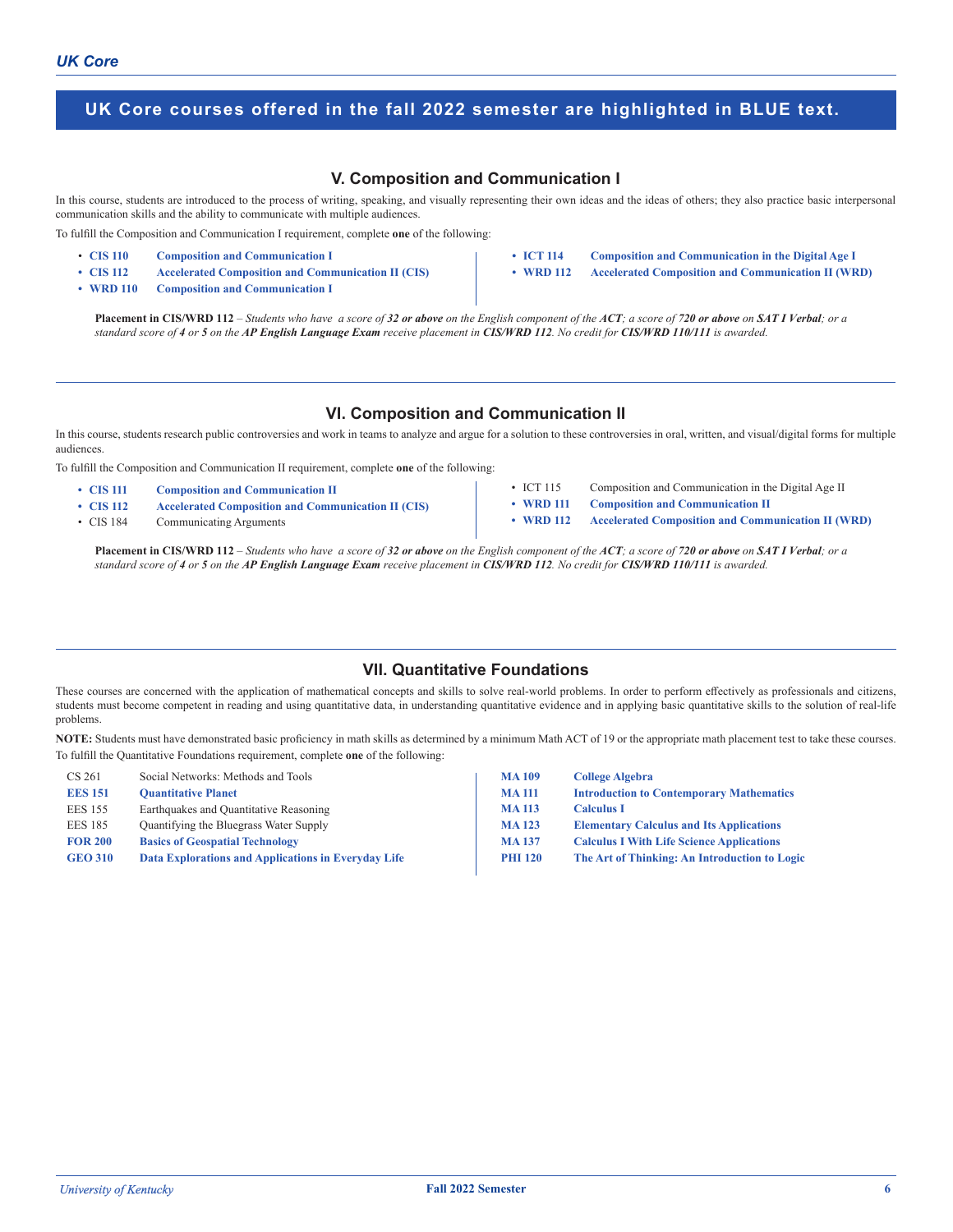## **V. Composition and Communication I**

In this course, students are introduced to the process of writing, speaking, and visually representing their own ideas and the ideas of others; they also practice basic interpersonal communication skills and the ability to communicate with multiple audiences.

To fulfill the Composition and Communication I requirement, complete **one** of the following:

- **CIS 110 Composition and Communication I**
- **• CIS 112 Accelerated Composition and Communication II (CIS)**
- **• WRD 110 Composition and Communication I**
- **• ICT 114 Composition and Communication in the Digital Age I**
- **• WRD 112 Accelerated Composition and Communication II (WRD)**

Placement in CIS/WRD 112 - Students who have a score of 32 or above on the English component of the ACT; a score of 720 or above on SAT I Verbal; or a *standard score of 4 or 5 on the AP English Language Exam receive placement in CIS/WRD 112. No credit for CIS/WRD 110/111 is awarded.*

#### **VI. Composition and Communication II**

In this course, students research public controversies and work in teams to analyze and argue for a solution to these controversies in oral, written, and visual/digital forms for multiple audiences.

To fulfill the Composition and Communication II requirement, complete **one** of the following:

- **• CIS 111 Composition and Communication II**
- **• CIS 112 Accelerated Composition and Communication II (CIS)**
- CIS 184 Communicating Arguments
- ICT 115 Composition and Communication in the Digital Age II
- 
- **• WRD 111 Composition and Communication II • WRD 112 Accelerated Composition and Communication II (WRD)**

Placement in CIS/WRD 112 – Students who have a score of 32 or above on the English component of the ACT; a score of 720 or above on SAT I Verbal; or a *standard score of 4 or 5 on the AP English Language Exam receive placement in CIS/WRD 112. No credit for CIS/WRD 110/111 is awarded.*

#### **VII. Quantitative Foundations**

These courses are concerned with the application of mathematical concepts and skills to solve real-world problems. In order to perform effectively as professionals and citizens, students must become competent in reading and using quantitative data, in understanding quantitative evidence and in applying basic quantitative skills to the solution of real-life problems.

**NOTE:** Students must have demonstrated basic proficiency in math skills as determined by a minimum Math ACT of 19 or the appropriate math placement test to take these courses. To fulfill the Quantitative Foundations requirement, complete **one** of the following:

| CS 261         | Social Networks: Methods and Tools                  | <b>MA109</b>   | <b>College Algebra</b>                           |
|----------------|-----------------------------------------------------|----------------|--------------------------------------------------|
| <b>EES 151</b> | <b>Quantitative Planet</b>                          | <b>MA111</b>   | <b>Introduction to Contemporary Mathematics</b>  |
| <b>EES 155</b> | Earthquakes and Quantitative Reasoning              | <b>MA113</b>   | <b>Calculus I</b>                                |
| <b>EES 185</b> | Quantifying the Bluegrass Water Supply              | <b>MA123</b>   | <b>Elementary Calculus and Its Applications</b>  |
| <b>FOR 200</b> | <b>Basics of Geospatial Technology</b>              | <b>MA137</b>   | <b>Calculus I With Life Science Applications</b> |
| <b>GEO 310</b> | Data Explorations and Applications in Everyday Life | <b>PHI 120</b> | The Art of Thinking: An Introduction to Logic    |
|                |                                                     |                |                                                  |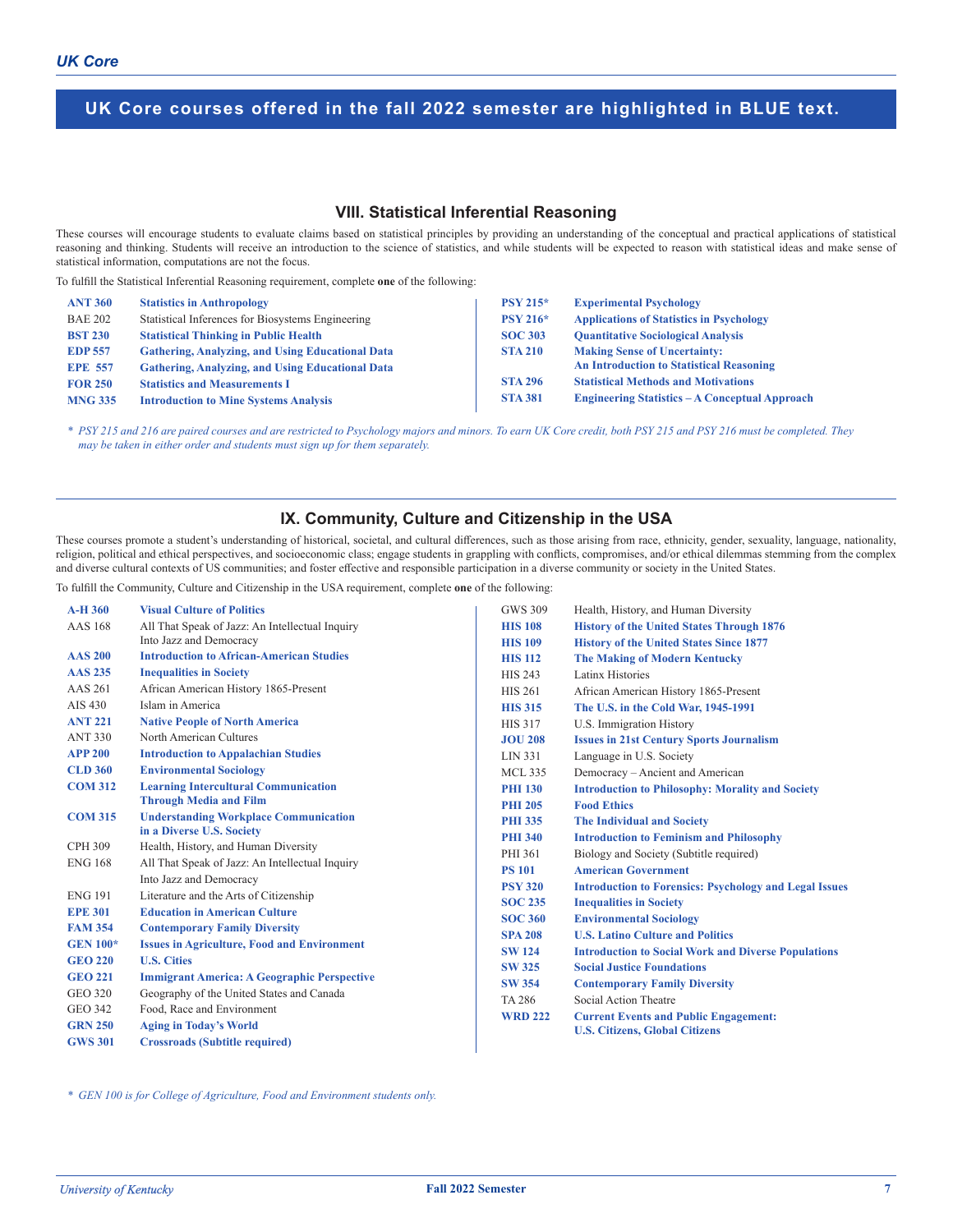## **VIII. Statistical Inferential Reasoning**

These courses will encourage students to evaluate claims based on statistical principles by providing an understanding of the conceptual and practical applications of statistical reasoning and thinking. Students will receive an introduction to the science of statistics, and while students will be expected to reason with statistical ideas and make sense of statistical information, computations are not the focus.

To fulfill the Statistical Inferential Reasoning requirement, complete **one** of the following:

| <b>ANT 360</b> | <b>Statistics in Anthropology</b>                       | $PSY 215*$      | <b>Experimental Psychology</b>                        |
|----------------|---------------------------------------------------------|-----------------|-------------------------------------------------------|
| <b>BAE 202</b> | Statistical Inferences for Biosystems Engineering       | <b>PSY 216*</b> | <b>Applications of Statistics in Psychology</b>       |
| <b>BST 230</b> | <b>Statistical Thinking in Public Health</b>            | <b>SOC 303</b>  | <b>Ouantitative Sociological Analysis</b>             |
| <b>EDP 557</b> | <b>Gathering, Analyzing, and Using Educational Data</b> | <b>STA 210</b>  | <b>Making Sense of Uncertainty:</b>                   |
| <b>EPE 557</b> | <b>Gathering, Analyzing, and Using Educational Data</b> |                 | <b>An Introduction to Statistical Reasoning</b>       |
| <b>FOR 250</b> | <b>Statistics and Measurements I</b>                    | <b>STA 296</b>  | <b>Statistical Methods and Motivations</b>            |
| <b>MNG 335</b> | <b>Introduction to Mine Systems Analysis</b>            | <b>STA 381</b>  | <b>Engineering Statistics - A Conceptual Approach</b> |

\* PSY 215 and 216 are paired courses and are restricted to Psychology majors and minors. To earn UK Core credit, both PSY 215 and PSY 216 must be completed. They *may be taken in either order and students must sign up for them separately.*

## **IX. Community, Culture and Citizenship in the USA**

These courses promote a student's understanding of historical, societal, and cultural differences, such as those arising from race, ethnicity, gender, sexuality, language, nationality, religion, political and ethical perspectives, and socioeconomic class; engage students in grappling with conflicts, compromises, and/or ethical dilemmas stemming from the complex and diverse cultural contexts of US communities; and foster effective and responsible participation in a diverse community or society in the United States.

To fulfill the Community, Culture and Citizenship in the USA requirement, complete **one** of the following:

| $A-H360$        | <b>Visual Culture of Politics</b>                  | <b>GWS 309</b> | Health, History, and Human Diversity                          |
|-----------------|----------------------------------------------------|----------------|---------------------------------------------------------------|
| <b>AAS</b> 168  | All That Speak of Jazz: An Intellectual Inquiry    | <b>HIS 108</b> | <b>History of the United States Through 1876</b>              |
|                 | Into Jazz and Democracy                            | <b>HIS 109</b> | <b>History of the United States Since 1877</b>                |
| <b>AAS 200</b>  | <b>Introduction to African-American Studies</b>    | <b>HIS 112</b> | <b>The Making of Modern Kentucky</b>                          |
| <b>AAS 235</b>  | <b>Inequalities in Society</b>                     | <b>HIS 243</b> | Latinx Histories                                              |
| AAS 261         | African American History 1865-Present              | <b>HIS 261</b> | African American History 1865-Present                         |
| AIS 430         | Islam in America                                   | <b>HIS 315</b> | The U.S. in the Cold War, 1945-1991                           |
| <b>ANT 221</b>  | <b>Native People of North America</b>              | <b>HIS 317</b> | U.S. Immigration History                                      |
| <b>ANT 330</b>  | North American Cultures                            | <b>JOU 208</b> | <b>Issues in 21st Century Sports Journalism</b>               |
| <b>APP 200</b>  | <b>Introduction to Appalachian Studies</b>         | LIN 331        | Language in U.S. Society                                      |
| <b>CLD 360</b>  | <b>Environmental Sociology</b>                     | <b>MCL 335</b> | Democracy - Ancient and American                              |
| <b>COM 312</b>  | <b>Learning Intercultural Communication</b>        | <b>PHI 130</b> | <b>Introduction to Philosophy: Morality and Society</b>       |
|                 | <b>Through Media and Film</b>                      | <b>PHI 205</b> | <b>Food Ethics</b>                                            |
| <b>COM 315</b>  | <b>Understanding Workplace Communication</b>       | <b>PHI 335</b> | <b>The Individual and Society</b>                             |
|                 | in a Diverse U.S. Society                          | <b>PHI 340</b> | <b>Introduction to Feminism and Philosophy</b>                |
| <b>CPH 309</b>  | Health, History, and Human Diversity               | PHI 361        | Biology and Society (Subtitle required)                       |
| <b>ENG 168</b>  | All That Speak of Jazz: An Intellectual Inquiry    | <b>PS 101</b>  | <b>American Government</b>                                    |
|                 | Into Jazz and Democracy                            | <b>PSY 320</b> | <b>Introduction to Forensics: Psychology and Legal Issues</b> |
| <b>ENG 191</b>  | Literature and the Arts of Citizenship             | <b>SOC 235</b> | <b>Inequalities in Society</b>                                |
| <b>EPE 301</b>  | <b>Education in American Culture</b>               | <b>SOC 360</b> | <b>Environmental Sociology</b>                                |
| <b>FAM 354</b>  | <b>Contemporary Family Diversity</b>               | <b>SPA 208</b> | <b>U.S. Latino Culture and Politics</b>                       |
| <b>GEN 100*</b> | <b>Issues in Agriculture, Food and Environment</b> | <b>SW 124</b>  | <b>Introduction to Social Work and Diverse Populations</b>    |
| <b>GEO 220</b>  | <b>U.S. Cities</b>                                 | <b>SW 325</b>  | <b>Social Justice Foundations</b>                             |
| <b>GEO 221</b>  | <b>Immigrant America: A Geographic Perspective</b> | <b>SW 354</b>  | <b>Contemporary Family Diversity</b>                          |
| GEO 320         | Geography of the United States and Canada          | TA 286         | Social Action Theatre                                         |
| GEO 342         | Food, Race and Environment                         | <b>WRD 222</b> | <b>Current Events and Public Engagement:</b>                  |
| <b>GRN 250</b>  | <b>Aging in Today's World</b>                      |                | <b>U.S. Citizens, Global Citizens</b>                         |
| <b>GWS 301</b>  | <b>Crossroads (Subtitle required)</b>              |                |                                                               |

*\* GEN 100 is for College of Agriculture, Food and Environment students only.*